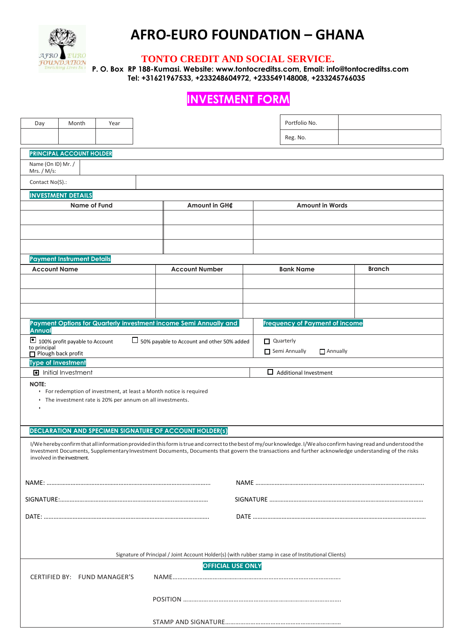

## **AFRO-EURO FOUNDATION – GHANA**

## **TONTO CREDIT AND SOCIAL SERVICE.**

**P. O. Box RP 188-Kumasi. Website: [www.tontocreditss.com,](http://www.tontocreditss.com/) Email: info@tontocreditss.com Tel: +31621967533, +233248604972, +233549148008, +233245766035**

## **INVESTMENT FORM**

| Day<br>Month<br>Year                                                                                                                                                               | Portfolio No.                              |                                       |                        |  |  |  |  |
|------------------------------------------------------------------------------------------------------------------------------------------------------------------------------------|--------------------------------------------|---------------------------------------|------------------------|--|--|--|--|
|                                                                                                                                                                                    |                                            | Reg. No.                              |                        |  |  |  |  |
|                                                                                                                                                                                    |                                            |                                       |                        |  |  |  |  |
| <b>PRINCIPAL ACCOUNT HOLDER</b><br>Name (On ID) Mr. /                                                                                                                              |                                            |                                       |                        |  |  |  |  |
| Mrs. / $M/s$ :                                                                                                                                                                     |                                            |                                       |                        |  |  |  |  |
| Contact No(S).:                                                                                                                                                                    |                                            |                                       |                        |  |  |  |  |
| <b>INVESTMENT DETAILS</b>                                                                                                                                                          |                                            |                                       |                        |  |  |  |  |
| Name of Fund                                                                                                                                                                       | Amount in GH¢                              |                                       | <b>Amount in Words</b> |  |  |  |  |
|                                                                                                                                                                                    |                                            |                                       |                        |  |  |  |  |
|                                                                                                                                                                                    |                                            |                                       |                        |  |  |  |  |
|                                                                                                                                                                                    |                                            |                                       |                        |  |  |  |  |
| <b>Payment Instrument Details</b>                                                                                                                                                  |                                            |                                       |                        |  |  |  |  |
| <b>Account Name</b>                                                                                                                                                                | <b>Account Number</b>                      | <b>Bank Name</b>                      | Branch                 |  |  |  |  |
|                                                                                                                                                                                    |                                            |                                       |                        |  |  |  |  |
|                                                                                                                                                                                    |                                            |                                       |                        |  |  |  |  |
|                                                                                                                                                                                    |                                            |                                       |                        |  |  |  |  |
| Payment Options for Quarterly investment income Semi Annually and                                                                                                                  |                                            | <b>Frequency of Payment of income</b> |                        |  |  |  |  |
| <b>Annual</b>                                                                                                                                                                      |                                            |                                       |                        |  |  |  |  |
| 100% profit payable to Account<br>to principal                                                                                                                                     | 50% payable to Account and other 50% added | Quarterly                             |                        |  |  |  |  |
| $\Box$ Plough back profit                                                                                                                                                          |                                            | Semi Annually<br>$\Box$ Annually      |                        |  |  |  |  |
| <b>Type of Investment</b><br>la Initial Investment                                                                                                                                 |                                            | $\Box$ Additional Investment          |                        |  |  |  |  |
| <b>NOTE:</b>                                                                                                                                                                       |                                            |                                       |                        |  |  |  |  |
| • For redemption of investment, at least a Month notice is required                                                                                                                |                                            |                                       |                        |  |  |  |  |
| • The investment rate is 20% per annum on all investments.<br>٠                                                                                                                    |                                            |                                       |                        |  |  |  |  |
|                                                                                                                                                                                    |                                            |                                       |                        |  |  |  |  |
| <b>DECLARATION AND SPECIMEN SIGNATURE OF ACCOUNT HOLDER(S)</b>                                                                                                                     |                                            |                                       |                        |  |  |  |  |
| I/We hereby confirm that all information provided in this form is true and correct to the best of my/our knowledge. I/We also confirm having read and understood the               |                                            |                                       |                        |  |  |  |  |
| Investment Documents, Supplementary Investment Documents, Documents that govern the transactions and further acknowledge understanding of the risks<br>involved in the investment. |                                            |                                       |                        |  |  |  |  |
|                                                                                                                                                                                    |                                            |                                       |                        |  |  |  |  |
|                                                                                                                                                                                    |                                            |                                       |                        |  |  |  |  |
|                                                                                                                                                                                    |                                            |                                       |                        |  |  |  |  |
|                                                                                                                                                                                    |                                            |                                       |                        |  |  |  |  |
|                                                                                                                                                                                    |                                            |                                       |                        |  |  |  |  |
|                                                                                                                                                                                    |                                            |                                       |                        |  |  |  |  |
|                                                                                                                                                                                    |                                            |                                       |                        |  |  |  |  |
| Signature of Principal / Joint Account Holder(s) (with rubber stamp in case of Institutional Clients)                                                                              |                                            |                                       |                        |  |  |  |  |
| <b>OFFICIAL USE ONLY</b>                                                                                                                                                           |                                            |                                       |                        |  |  |  |  |
| CERTIFIED BY: FUND MANAGER'S                                                                                                                                                       |                                            |                                       |                        |  |  |  |  |
|                                                                                                                                                                                    |                                            |                                       |                        |  |  |  |  |
|                                                                                                                                                                                    |                                            |                                       |                        |  |  |  |  |
|                                                                                                                                                                                    |                                            |                                       |                        |  |  |  |  |
|                                                                                                                                                                                    |                                            |                                       |                        |  |  |  |  |